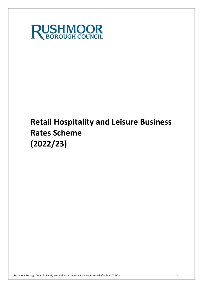

# **Retail Hospitality and Leisure Business Rates Scheme (2022/23)**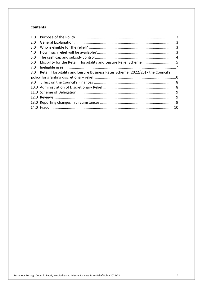## **Contents**

| Eligibility for the Retail, Hospitality and Leisure Relief Scheme  5            |  |
|---------------------------------------------------------------------------------|--|
|                                                                                 |  |
| Retail, Hospitality and Leisure Business Rates Scheme (2022/23) - the Council's |  |
|                                                                                 |  |
|                                                                                 |  |
|                                                                                 |  |
|                                                                                 |  |
|                                                                                 |  |
|                                                                                 |  |
|                                                                                 |  |
|                                                                                 |  |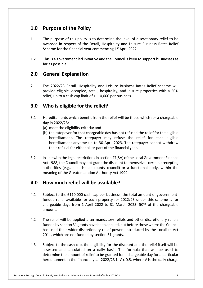# **1.0 Purpose of the Policy**

- 1.1 The purpose of this policy is to determine the level of discretionary relief to be awarded in respect of the Retail, Hospitality and Leisure Business Rates Relief Scheme for the financial year commencing  $1<sup>st</sup>$  April 2022.
- 1.2 This is a government led initiative and the Council is keen to support businesses as far as possible.

# **2.0 General Explanation**

 $2.1$  provide eligible, occupied, retail, hospitality, and leisure properties with a 50% relief, up to a cash cap limit of £110,000 per business. 2.1 The 2022/23 Retail, Hospitality and Leisure Business Rates Relief scheme will

# **3.0 Who is eligible for the relief?**

- 3.1 Hereditaments which benefit from the relief will be those which for a chargeable day in 2022/23:
	- (a) meet the eligibility criteria; and
	- (b) the ratepayer for that chargeable day has not refused the relief for the eligible hereditament. The ratepayer may refuse the relief for each eligible hereditament anytime up to 30 April 2023. The ratepayer cannot withdraw their refusal for either all or part of the financial year.
- $3.2$  Act 1988, the Council may not grant the discount to themselves certain precepting authorities (e.g., a parish or county council) or a functional body, within the meaning of the Greater London Authority Act 1999. In line with the legal restrictions in section 47(8A) of the Local Government Finance

# **4.0 How much relief will be available?**

- 4.1 Subject to the £110,000 cash cap per business, the total amount of government- funded relief available for each property for 2022/23 under this scheme is for chargeable days from 1 April 2022 to 31 March 2023, 50% of the chargeable amount.
- $4.2$  funded by section 31 grants have been applied, but before those where the Council has used their wider discretionary relief powers introduced by the Localism Act 2011, which are not funded by section 31 grants. The relief will be applied after mandatory reliefs and other discretionary reliefs
- 4.3 Subject to the cash cap, the eligibility for the discount and the relief itself will be assessed and calculated on a daily basis. The formula that will be used to determine the amount of relief to be granted for a chargeable day for a particular hereditament in the financial year 2022/23 is V x 0.5, where V is the daily charge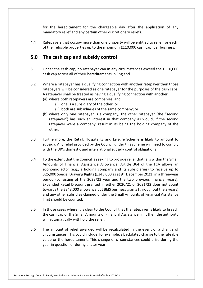for the hereditament for the chargeable day after the application of any mandatory relief and any certain other discretionary reliefs.

 4.4 Ratepayers that occupy more than one property will be entitled to relief for each of their eligible properties up to the maximum £110,000 cash cap, per business.

# **5.0 The cash cap and subsidy control**

- $5.1$  cash cap across all of their hereditaments in England. Under the cash cap, no ratepayer can in any circumstances exceed the £110,000
- $5.2$  ratepayers will be considered as one ratepayer for the purposes of the cash caps. A ratepayer shall be treated as having a qualifying connection with another: Where a ratepayer has a qualifying connection with another ratepayer then those
	- (a) where both ratepayers are companies, and
		- (i) one is a subsidiary of the other; or
		- (ii) both are subsidiaries of the same company; or
	- (b) where only one ratepayer is a company, the other ratepayer (the "second ratepayer") has such an interest in that company as would, if the second ratepayer were a company, result in its being the holding company of the other.
- $5.3$  subsidy. Any relief provided by the Council under this scheme will need to comply with the UK's domestic and international subsidy control obligations Furthermore, the Retail, Hospitality and Leisure Scheme is likely to amount to
- $5.4$  Amounts of Financial Assistance Allowance, Article 364 of the TCA allows an economic actor (e.g., a holding company and its subsidiaries) to receive up to 325,000 Special Drawing Rights (£343,000 as at 9<sup>th</sup> December 2021) in a three-year period (consisting of the 2022/23 year and the two previous financial years). Expanded Retail Discount granted in either 2020/21 or 2021/22 does not count towards the £343,000 allowance but BEIS business grants (throughout the 3 years) and any other subsidies claimed under the Small Amounts of Financial Assistance limit should be counted. 5.4 To the extent that the Council is seeking to provide relief that falls within the Small
- $5.5$  the cash cap or the Small Amounts of Financial Assistance limit then the authority will automatically withhold the relief. In those cases where it is clear to the Council that the ratepayer is likely to breach
- 5.6 The amount of relief awarded will be recalculated in the event of a change of circumstances. This could include, for example, a backdated change to the rateable value or the hereditament. This change of circumstances could arise during the year in question or during a later year.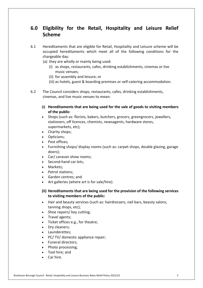# **6.0 Eligibility for the Retail, Hospitality and Leisure Relief Scheme**

- 6.1 Hereditaments that are eligible for Retail, Hospitality and Leisure scheme will be occupied hereditaments which meet all of the following conditions for the chargeable day:
	- (a) they are wholly or mainly being used:
		- (i) as shops, restaurants, cafes, drinking establishments, cinemas or live music venues;
		- (ii) for assembly and leisure; or
		- (iii) as hotels, guest & boarding premises or self-catering accommodation.
- $6.2$  cinemas, and live music venues to mean: The Council considers shops, restaurants, cafes, drinking establishments,
	- **(i) Hereditaments that are being used for the sale of goods to visiting members of the public:**
	- • Shops (such as: florists, bakers, butchers, grocers, greengrocers, jewellers, stationers, off licences, chemists, newsagents, hardware stores, supermarkets, etc);
	- Charity shops;
	- Opticians;
	- Post offices;
	- • Furnishing shops/ display rooms (such as: carpet shops, double glazing, garage doors);
	- Car/ caravan show rooms;
	- Second-hand car lots;
	- Markets:
	- Petrol stations;
	- Garden centres; and
	- Art galleries (where art is for sale/hire).
	- **(ii) Hereditaments that are being used for the provision of the following services to visiting members of the public:**
	- • Hair and beauty services (such as: hairdressers, nail bars, beauty salons, tanning shops, etc);
	- Shoe repairs/ key cutting;
	- Travel agents;
	- Ticket offices e.g., for theatre;
	- Dry cleaners;
	- Launderettes;
	- PC/ TV/ domestic appliance repair;
	- Funeral directors;
	- Photo processing;
	- Tool hire; and
	- Car hire.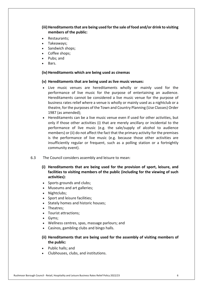## (iii) Hereditaments that are being used for the sale of food and/or drink to visiting **members of the public:**

- Restaurants;
- Takeaways;
- Sandwich shops;
- Coffee shops;
- Pubs; and
- Bars.

## **(iv) Hereditaments which are being used as cinemas**

## **(v) Hereditaments that are being used as live music venues:**

- • Live music venues are hereditaments wholly or mainly used for the performance of live music for the purpose of entertaining an audience. Hereditaments cannot be considered a live music venue for the purpose of business rates relief where a venue is wholly or mainly used as a nightclub or a theatre, for the purposes of the Town and Country Planning (Use Classes) Order 1987 (as amended);
- • Hereditaments can be a live music venue even if used for other activities, but only if those other activities (i) that are merely ancillary or incidental to the performance of live music (e.g. the sale/supply of alcohol to audience members) or (ii) do not affect the fact that the primary activity for the premises is the performance of live music (e.g. because those other activities are insufficiently regular or frequent, such as a polling station or a fortnightly community event).
- $6.3$ The Council considers assembly and leisure to mean:
	- **(i) Hereditaments that are being used for the provision of sport, leisure, and facilities to visiting members of the public (including for the viewing of such activities):**
	- Sports grounds and clubs;
	- Museums and art galleries;
	- Nightclubs;
	- Sport and leisure facilities;
	- Stately homes and historic houses;
	- Theatres;
	- Tourist attractions;
	- Gyms;
	- Wellness centres, spas, massage parlours; and
	- Casinos, gambling clubs and bingo halls.
	- **(ii) Hereditaments that are being used for the assembly of visiting members of the public:**
	- Public halls; and
	- Clubhouses, clubs, and institutions.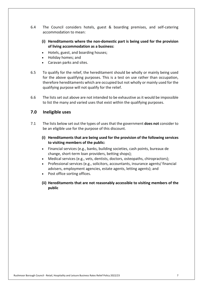- $6.4$  accommodation to mean: The Council considers hotels, guest & boarding premises, and self-catering
	- **(i) Hereditaments where the non-domestic part is being used for the provision of living accommodation as a business:**
	- Hotels, guest, and boarding houses;
	- Holiday homes; and
	- Caravan parks and sites.
- 6.5 for the above qualifying purposes. This is a test on use rather than occupation, therefore hereditaments which are occupied but not wholly or mainly used for the qualifying purpose will not qualify for the relief. To qualify for the relief, the hereditament should be wholly or mainly being used
- 6.6 The lists set out above are not intended to be exhaustive as it would be impossible to list the many and varied uses that exist within the qualifying purposes.

## **7.0 Ineligible uses**

- 7.1 The lists below set out the types of uses that the government **does not** consider to be an eligible use for the purpose of this discount.
	- **(i) Hereditaments that are being used for the provision of the following services to visiting members of the public:**
	- • Financial services (e.g., banks, building societies, cash points, bureaux de change, short-term loan providers, betting shops);
	- Medical services (e.g., vets, dentists, doctors, osteopaths, chiropractors);
	- • Professional services (e.g., solicitors, accountants, insurance agents/ financial advisers, employment agencies, estate agents, letting agents); and
	- Post office sorting offices.
	- **(ii) Hereditaments that are not reasonably accessible to visiting members of the public**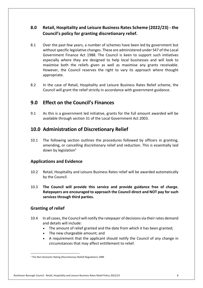#### **8.0 Retail, Hospitality and Leisure Business Rates Scheme (2022/23) - the Council's policy for granting discretionary relief.**

- 8.1 without specific legislative changes. These are administered under S47 of the Local Government Finance Act 1988. The Council is keen to support such initiatives especially where they are designed to help local businesses and will look to maximise both the reliefs given as well as maximise any grants receivable. However, the Council reserves the right to vary its approach where thought Over the past few years, a number of schemes have been led by government but appropriate.
- $8.2$  Council will grant the relief strictly in accordance with government guidance. In the case of Retail, Hospitality and Leisure Business Rates Relief scheme, the

# **9.0 Effect on the Council's Finances**

 $9.1$  available through section 31 of the Local Government Act 2003. As this is a government led initiative, grants for the full amount awarded will be

# **10.0 Administration of Discretionary Relief**

 $10.1$  amending, or cancelling discretionary relief and reduction. This is essentially laid down by legislation $1$ The following section outlines the procedures followed by officers in granting,

## **Applications and Evidence**

- $10.2$  by the Council. Retail, Hospitality and Leisure Business Rates relief will be awarded automatically
- 10.3 **The Council will provide this service and provide guidance free of charge. Ratepayers are encouraged to approach the Council direct and NOT pay for such services through third parties. Granting of relief**

## **Granting of relief**

- $10.4$  and details will include: In all cases, the Council will notify the ratepayer of decisions via their rates demand
	- The amount of relief granted and the date from which it has been granted;
	- The new chargeable amount; and
	- • A requirement that the applicant should notify the Council of any change in circumstances that may affect entitlement to relief.

<sup>&</sup>lt;sup>1</sup> The Non-Domestic Rating (Discretionary Relief) Regulations 1989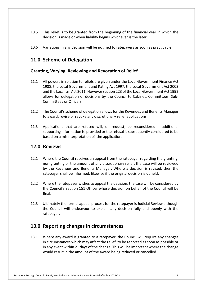- 10.5 This relief is to be granted from the beginning of the financial year in which the decision is made or when liability begins whichever is the later.
- 10.6 Variations in any decision will be notified to ratepayers as soon as practicable

# **11.0 Scheme of Delegation**

## **Granting, Varying, Reviewing and Revocation of Relief**

- $11.1$  1988, the Local Government and Rating Act 1997, the Local Government Act 2003 and the Localism Act 2011. However section 223 of the Local Government Act 1992 allows for delegation of decisions by the Council to Cabinet, Committees, Sub- Committees or Officers. All powers in relation to reliefs are given under the Local Government Finance Act
- 11.2 The Council's scheme of delegation allows for the Revenues and Benefits Manager to award, revise or revoke any discretionary relief applications.
- 11.3 Applications that are refused will, on request, be reconsidered if additional supporting information is provided or the refusal is subsequently considered to be based on a misinterpretation of the application.

## **12.0 Reviews**

- $12.1$  non-granting or the amount of any discretionary relief, the case will be reviewed by the Revenues and Benefits Manager. Where a decision is revised, then the ratepayer shall be informed, likewise if the original decision is upheld. Where the Council receives an appeal from the ratepayer regarding the granting,
- $12.2$  the Council's Section 151 Officer whose decision on behalf of the Council will be Where the ratepayer wishes to appeal the decision, the case will be considered by final.
- 12.3 Ultimately the formal appeal process for the ratepayer is Judicial Review although the Council will endeavour to explain any decision fully and openly with the ratepayer.

## **13.0 Reporting changes in circumstances**

 $13.1$  in circumstances which may affect the relief, to be reported as soon as possible or in any event within 21 days of the change. This will be important where the change would result in the amount of the award being reduced or cancelled. Where any award is granted to a ratepayer, the Council will require any changes